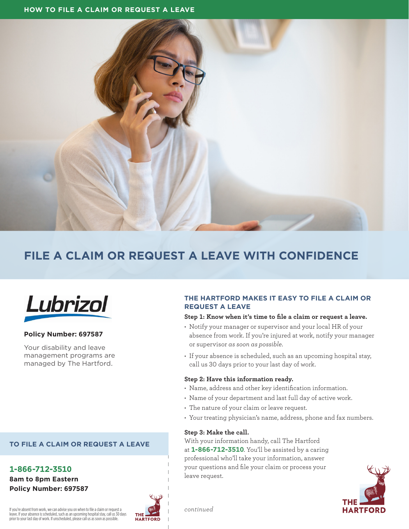

# **FILE A CLAIM OR REQUEST A LEAVE WITH CONFIDENCE**



# **Policy Number: 697587**

Your disability and leave management programs are managed by The Hartford.

# **TO FILE A CLAIM OR REQUEST A LEAVE**

**1-866-712-3510 8am to 8pm Eastern Policy Number: 697587**

# **THE HARTFORD**

## If you're absent from work, we can advise you on when to file a claim or request a leave. If your absence is scheduled, such as an upcoming hospital stay, call us 30 days prior to your last day of work. If unscheduled, please call us as soon as possible.

# **THE HARTFORD MAKES IT EASY TO FILE A CLAIM OR REQUEST A LEAVE**

#### **Step 1: Know when it's time to file a claim or request a leave.**

- Notify your manager or supervisor and your local HR of your absence from work. If you're injured at work, notify your manager or supervisor *as soon as possible*.
- If your absence is scheduled, such as an upcoming hospital stay, call us 30 days prior to your last day of work.

#### **Step 2: Have this information ready.**

- Name, address and other key identification information.
- Name of your department and last full day of active work.
- The nature of your claim or leave request.
- Your treating physician's name, address, phone and fax numbers.

#### **Step 3: Make the call.**

*continued*

With your information handy, call The Hartford at **1-866-712-3510**. You'll be assisted by a caring professional who'll take your information, answer your questions and file your claim or process your leave request.